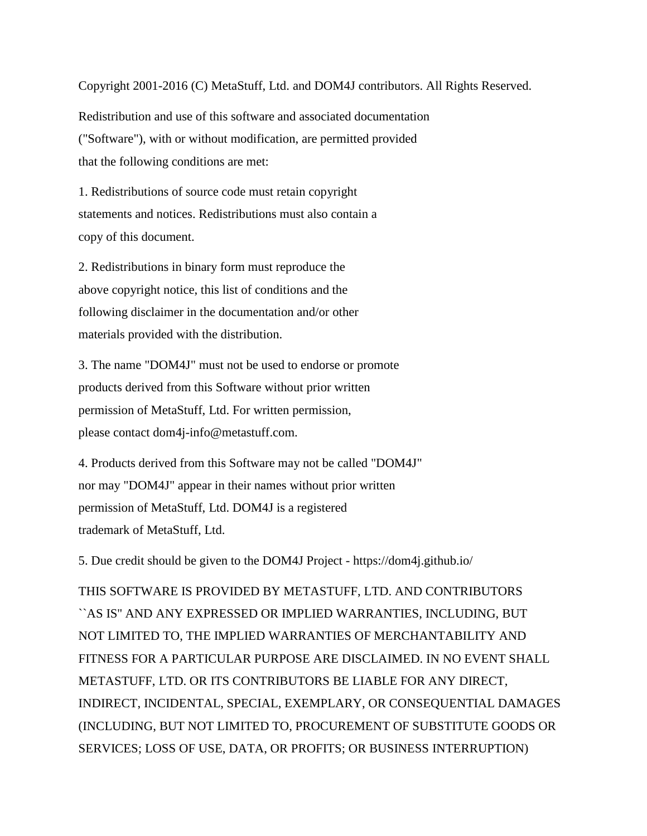Copyright 2001-2016 (C) MetaStuff, Ltd. and DOM4J contributors. All Rights Reserved.

Redistribution and use of this software and associated documentation ("Software"), with or without modification, are permitted provided that the following conditions are met:

1. Redistributions of source code must retain copyright statements and notices. Redistributions must also contain a copy of this document.

2. Redistributions in binary form must reproduce the above copyright notice, this list of conditions and the following disclaimer in the documentation and/or other materials provided with the distribution.

3. The name "DOM4J" must not be used to endorse or promote products derived from this Software without prior written permission of MetaStuff, Ltd. For written permission, please contact dom4j-info@metastuff.com.

4. Products derived from this Software may not be called "DOM4J" nor may "DOM4J" appear in their names without prior written permission of MetaStuff, Ltd. DOM4J is a registered trademark of MetaStuff, Ltd.

5. Due credit should be given to the DOM4J Project - https://dom4j.github.io/

THIS SOFTWARE IS PROVIDED BY METASTUFF, LTD. AND CONTRIBUTORS ``AS IS'' AND ANY EXPRESSED OR IMPLIED WARRANTIES, INCLUDING, BUT NOT LIMITED TO, THE IMPLIED WARRANTIES OF MERCHANTABILITY AND FITNESS FOR A PARTICULAR PURPOSE ARE DISCLAIMED. IN NO EVENT SHALL METASTUFF, LTD. OR ITS CONTRIBUTORS BE LIABLE FOR ANY DIRECT, INDIRECT, INCIDENTAL, SPECIAL, EXEMPLARY, OR CONSEQUENTIAL DAMAGES (INCLUDING, BUT NOT LIMITED TO, PROCUREMENT OF SUBSTITUTE GOODS OR SERVICES; LOSS OF USE, DATA, OR PROFITS; OR BUSINESS INTERRUPTION)